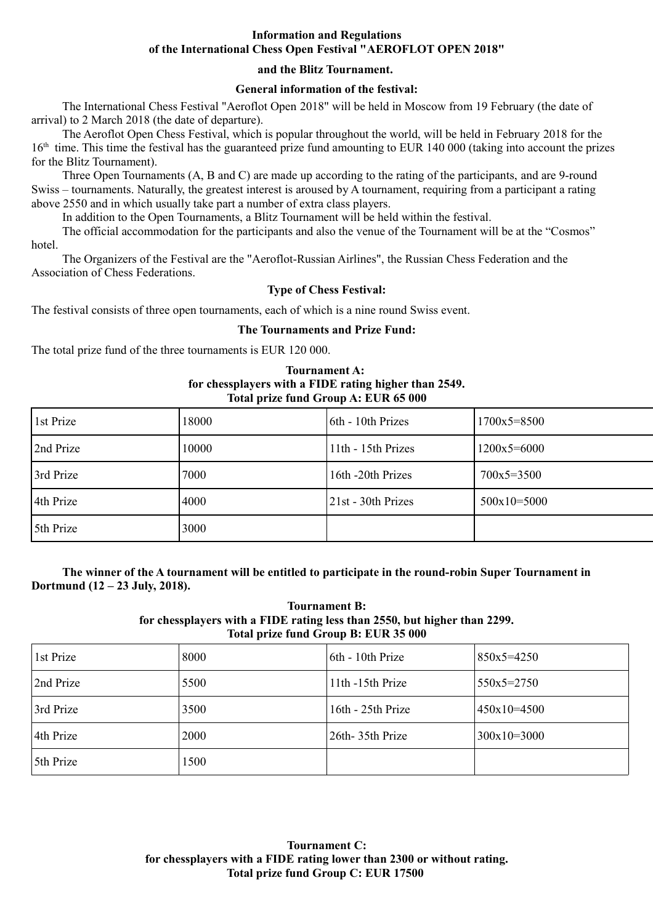## **Information and Regulations of the International Chess Open Festival "AEROFLOT OPEN 2018"**

# **and the Blitz Tournament.**

# **General information of the festival:**

The International Chess Festival "Aeroflot Open 2018" will be held in Moscow from 19 February (the date of arrival) to 2 March 2018 (the date of departure).

The Aeroflot Open Chess Festival, which is popular throughout the world, will be held in February 2018 for the  $16<sup>th</sup>$  time. This time the festival has the guaranteed prize fund amounting to EUR 140 000 (taking into account the prizes for the Blitz Tournament).

Three Open Tournaments (A, B and C) are made up according to the rating of the participants, and are 9-round Swiss – tournaments. Naturally, the greatest interest is aroused by A tournament, requiring from a participant a rating above 2550 and in which usually take part a number of extra class players.

In addition to the Open Tournaments, a Blitz Tournament will be held within the festival.

The official accommodation for the participants and also the venue of the Tournament will be at the "Cosmos" hotel.

The Organizers of the Festival are the "Aeroflot-Russian Airlines", the Russian Chess Federation and the Association of Chess Federations.

## **Type of Chess Festival:**

The festival consists of three open tournaments, each of which is a nine round Swiss event.

## **The Tournaments and Prize Fund:**

The total prize fund of the three tournaments is EUR 120 000.

### **Tournament A: for chessplayers with a FIDE rating higher than 2549. Total prize fund Group A: EUR 65 000**

| 1st Prize | 18000 | 6th - 10th Prizes  | $1700x5 = 8500$ |
|-----------|-------|--------------------|-----------------|
| 2nd Prize | 10000 | 11th - 15th Prizes | $1200x5 = 6000$ |
| 3rd Prize | 7000  | 16th -20th Prizes  | $700x5 = 3500$  |
| 4th Prize | 4000  | 21st - 30th Prizes | $500x10=5000$   |
| 5th Prize | 3000  |                    |                 |

**The winner of the A tournament will be entitled to participate in the round-robin Super Tournament in Dortmund (12 – 23 July, 2018).** 

#### **Tournament B: for chessplayers with a FIDE rating less than 2550, but higher than 2299. Total prize fund Group B: EUR 35 000**

| 1st Prize | 8000 | 6th - 10th Prize  | $850x5 = 4250$ |
|-----------|------|-------------------|----------------|
| 2nd Prize | 5500 | 11th -15th Prize  | $550x5=2750$   |
| 3rd Prize | 3500 | 16th - 25th Prize | $450x10=4500$  |
| 4th Prize | 2000 | 26th - 35th Prize | $300x10=3000$  |
| 5th Prize | 1500 |                   |                |

**Tournament C: for chessplayers with a FIDE rating lower than 2300 or without rating. Total prize fund Group C: EUR 17500**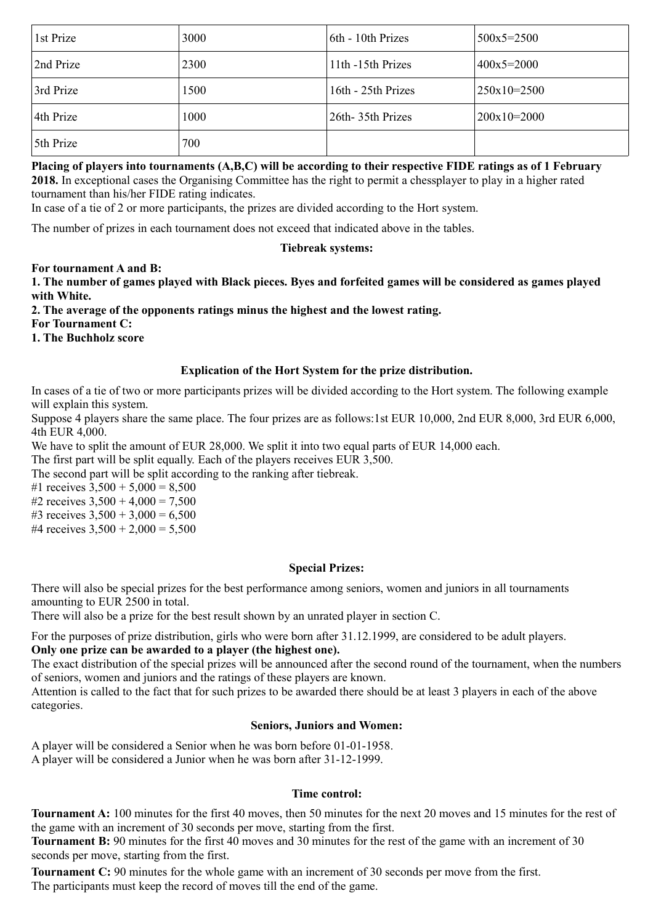| 1st Prize | 3000 | 6th - 10th Prizes  | $500x5 = 2500$ |
|-----------|------|--------------------|----------------|
| 2nd Prize | 2300 | 11th -15th Prizes  | $400x5=2000$   |
| 3rd Prize | 1500 | 16th - 25th Prizes | $250x10=2500$  |
| 4th Prize | 1000 | 26th 35th Prizes   | $200x10=2000$  |
| 5th Prize | 700  |                    |                |

### **Placing of players into tournaments (A,B,C) will be according to their respective FIDE ratings as of 1 February 2018.** In exceptional cases the Organising Committee has the right to permit a chessplayer to play in a higher rated

tournament than his/her FIDE rating indicates.

In case of a tie of 2 or more participants, the prizes are divided according to the Hort system.

The number of prizes in each tournament does not exceed that indicated above in the tables.

# **Tiebreak systems:**

**For tournament A and B:**

**1. The number of games played with Black pieces. Byes and forfeited games will be considered as games played with White.**

**2. The average of the opponents ratings minus the highest and the lowest rating.** 

**For Tournament C:** 

**1. The Buchholz score**

# **Explication of the Hort System for the prize distribution.**

In cases of a tie of two or more participants prizes will be divided according to the Hort system. The following example will explain this system.

Suppose 4 players share the same place. The four prizes are as follows:1st EUR 10,000, 2nd EUR 8,000, 3rd EUR 6,000, 4th EUR 4,000.

We have to split the amount of EUR 28,000. We split it into two equal parts of EUR 14,000 each.

The first part will be split equally. Each of the players receives EUR 3,500.

The second part will be split according to the ranking after tiebreak.

#1 receives  $3,500 + 5,000 = 8,500$ 

#2 receives  $3,500 + 4,000 = 7,500$ 

#3 receives  $3,500 + 3,000 = 6,500$ 

#4 receives  $3,500 + 2,000 = 5,500$ 

# **Special Prizes:**

There will also be special prizes for the best performance among seniors, women and juniors in all tournaments amounting to EUR 2500 in total.

There will also be a prize for the best result shown by an unrated player in section C.

For the purposes of prize distribution, girls who were born after 31.12.1999, are considered to be adult players. **Only one prize can be awarded to a player (the highest one).**

The exact distribution of the special prizes will be announced after the second round of the tournament, when the numbers of seniors, women and juniors and the ratings of these players are known.

Attention is called to the fact that for such prizes to be awarded there should be at least 3 players in each of the above categories.

# **Seniors, Juniors and Women:**

A player will be considered a Senior when he was born before 01-01-1958. A player will be considered a Junior when he was born after 31-12-1999.

### **Time control:**

**Tournament A:** 100 minutes for the first 40 moves, then 50 minutes for the next 20 moves and 15 minutes for the rest of the game with an increment of 30 seconds per move, starting from the first.

**Tournament B:** 90 minutes for the first 40 moves and 30 minutes for the rest of the game with an increment of 30 seconds per move, starting from the first.

**Tournament C:** 90 minutes for the whole game with an increment of 30 seconds per move from the first. The participants must keep the record of moves till the end of the game.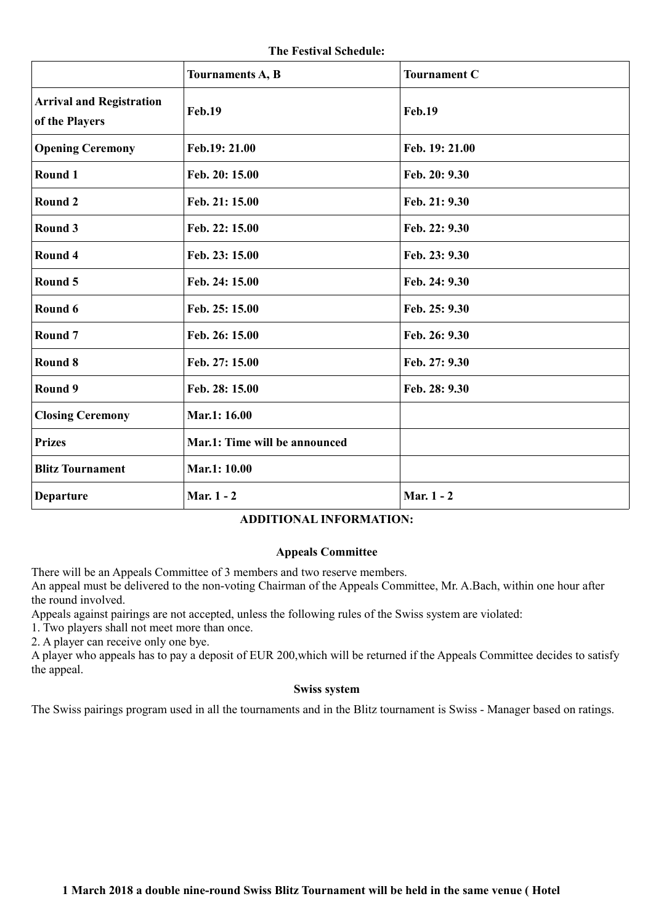**The Festival Schedule:**

|                                                   | Tournaments A, B              | <b>Tournament C</b> |
|---------------------------------------------------|-------------------------------|---------------------|
| <b>Arrival and Registration</b><br>of the Players | <b>Feb.19</b>                 | <b>Feb.19</b>       |
| <b>Opening Ceremony</b>                           | Feb.19: 21.00                 | Feb. 19: 21.00      |
| Round 1                                           | Feb. 20: 15.00                | Feb. 20: 9.30       |
| Round 2                                           | Feb. 21: 15.00                | Feb. 21: 9.30       |
| Round 3                                           | Feb. 22: 15.00                | Feb. 22: 9.30       |
| Round 4                                           | Feb. 23: 15.00                | Feb. 23: 9.30       |
| Round 5                                           | Feb. 24: 15.00                | Feb. 24: 9.30       |
| Round 6                                           | Feb. 25: 15.00                | Feb. 25: 9.30       |
| Round <sub>7</sub>                                | Feb. 26: 15.00                | Feb. 26: 9.30       |
| Round 8                                           | Feb. 27: 15.00                | Feb. 27: 9.30       |
| Round 9                                           | Feb. 28: 15.00                | Feb. 28: 9.30       |
| <b>Closing Ceremony</b>                           | Mar.1: 16.00                  |                     |
| <b>Prizes</b>                                     | Mar.1: Time will be announced |                     |
| <b>Blitz Tournament</b>                           | Mar.1: 10.00                  |                     |
| <b>Departure</b>                                  | Mar. 1 - 2                    | Mar. 1 - 2          |

# **ADDITIONAL INFORMATION:**

### **Appeals Committee**

There will be an Appeals Committee of 3 members and two reserve members.

An appeal must be delivered to the non-voting Chairman of the Appeals Committee, Mr. A.Bach, within one hour after the round involved.

Appeals against pairings are not accepted, unless the following rules of the Swiss system are violated:

1. Two players shall not meet more than once.

2. A player can receive only one bye.

A player who appeals has to pay a deposit of EUR 200,which will be returned if the Appeals Committee decides to satisfy the appeal.

### **Swiss system**

The Swiss pairings program used in all the tournaments and in the Blitz tournament is Swiss - Manager based on ratings.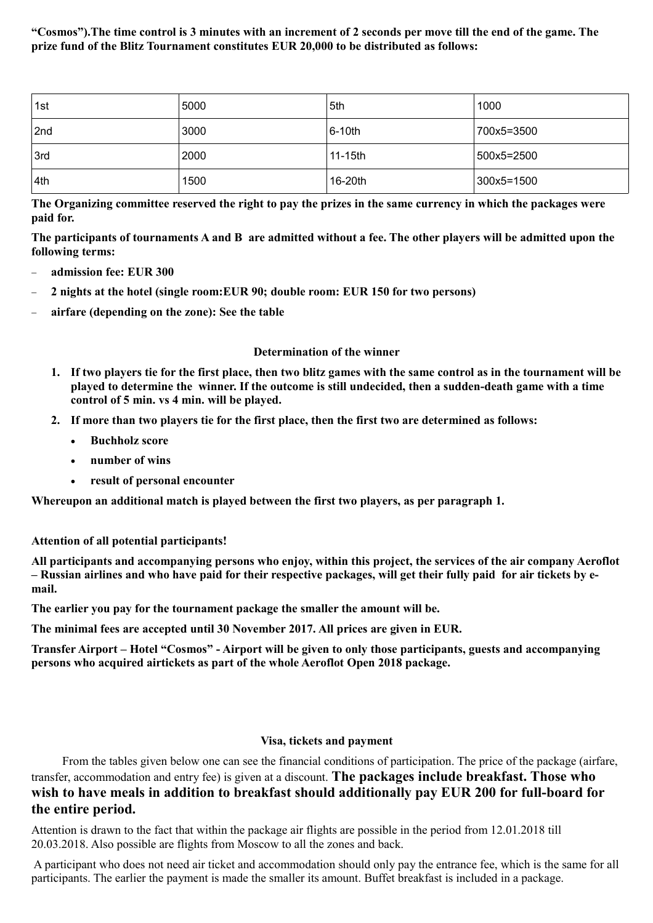**"Cosmos").The time control is 3 minutes with an increment of 2 seconds per move till the end of the game. The prize fund of the Blitz Tournament constitutes EUR 20,000 to be distributed as follows:**

| 1st | 5000 | 5th     | 1000       |
|-----|------|---------|------------|
| 2nd | 3000 | 6-10th  | 700x5=3500 |
| 3rd | 2000 | 11-15th | 500x5=2500 |
| 4th | 1500 | 16-20th | 300x5=1500 |

**The Organizing committee reserved the right to pay the prizes in the same currency in which the packages were paid for.**

**The participants of tournaments A and B are admitted without a fee. The other players will be admitted upon the following terms:**

- **admission fee: EUR 300**
- **2 nights at the hotel (single room:EUR 90; double room: EUR 150 for two persons)**
- **airfare (depending on the zone): See the table**

### **Determination of the winner**

- **1. If two players tie for the first place, then two blitz games with the same control as in the tournament will be played to determine the winner. If the outcome is still undecided, then a sudden-death game with a time control of 5 min. vs 4 min. will be played.**
- **2. If more than two players tie for the first place, then the first two are determined as follows:**
	- **•** Buchholz score
	- **number of wins**
	- **result of personal encounter**

**Whereupon an additional match is played between the first two players, as per paragraph 1.**

**Attention of all potential participants!**

**All participants and accompanying persons who enjoy, within this project, the services of the air company Aeroflot – Russian airlines and who have paid for their respective packages, will get their fully paid for air tickets by email.**

**The earlier you pay for the tournament package the smaller the amount will be.**

**The minimal fees are accepted until 30 November 2017. All prices are given in EUR.**

**Transfer Airport – Hotel "Cosmos" - Airport will be given to only those participants, guests and accompanying persons who acquired airtickets as part of the whole Aeroflot Open 2018 package.**

### **Visa, tickets and payment**

From the tables given below one can see the financial conditions of participation. The price of the package (airfare, transfer, accommodation and entry fee) is given at a discount. **The packages include breakfast. Those who wish to have meals in addition to breakfast should additionally pay EUR 200 for full-board for the entire period.**

Attention is drawn to the fact that within the package air flights are possible in the period from 12.01.2018 till 20.03.2018. Also possible are flights from Moscow to all the zones and back.

 A participant who does not need air ticket and accommodation should only pay the entrance fee, which is the same for all participants. The earlier the payment is made the smaller its amount. Buffet breakfast is included in a package.